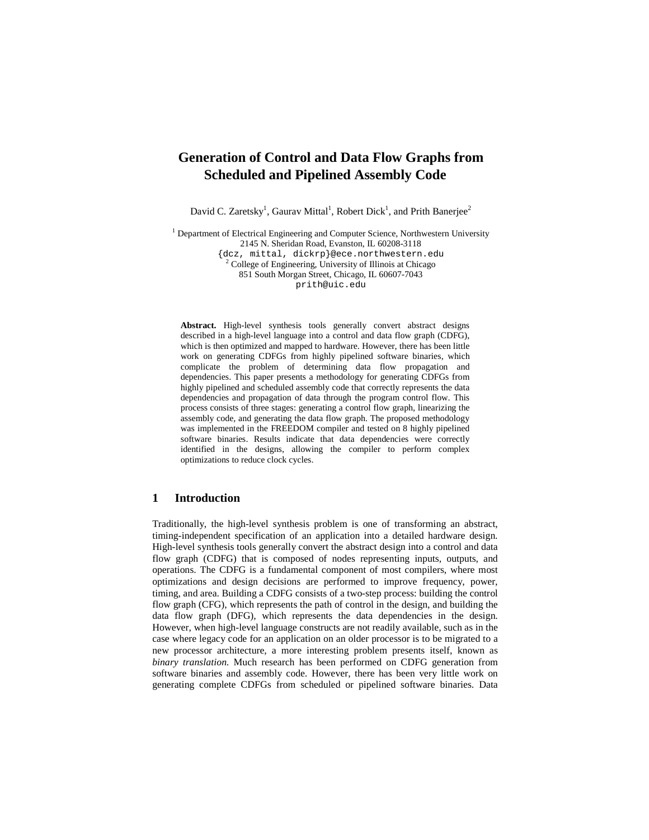# **Generation of Control and Data Flow Graphs from Scheduled and Pipelined Assembly Code**

David C. Zaretsky<sup>1</sup>, Gaurav Mittal<sup>1</sup>, Robert Dick<sup>1</sup>, and Prith Banerjee<sup>2</sup>

<sup>1</sup> Department of Electrical Engineering and Computer Science, Northwestern University 2145 N. Sheridan Road, Evanston, IL 60208-3118 {dcz, mittal, dickrp}@ece.northwestern.edu <sup>2</sup> College of Engineering, University of Illinois at Chicago 851 South Morgan Street, Chicago, IL 60607-7043

prith@uic.edu

**Abstract.** High-level synthesis tools generally convert abstract designs described in a high-level language into a control and data flow graph (CDFG), which is then optimized and mapped to hardware. However, there has been little work on generating CDFGs from highly pipelined software binaries, which complicate the problem of determining data flow propagation and dependencies. This paper presents a methodology for generating CDFGs from highly pipelined and scheduled assembly code that correctly represents the data dependencies and propagation of data through the program control flow. This process consists of three stages: generating a control flow graph, linearizing the assembly code, and generating the data flow graph. The proposed methodology was implemented in the FREEDOM compiler and tested on 8 highly pipelined software binaries. Results indicate that data dependencies were correctly identified in the designs, allowing the compiler to perform complex optimizations to reduce clock cycles.

# **1 Introduction**

Traditionally, the high-level synthesis problem is one of transforming an abstract, timing-independent specification of an application into a detailed hardware design. High-level synthesis tools generally convert the abstract design into a control and data flow graph (CDFG) that is composed of nodes representing inputs, outputs, and operations. The CDFG is a fundamental component of most compilers, where most optimizations and design decisions are performed to improve frequency, power, timing, and area. Building a CDFG consists of a two-step process: building the control flow graph (CFG), which represents the path of control in the design, and building the data flow graph (DFG), which represents the data dependencies in the design. However, when high-level language constructs are not readily available, such as in the case where legacy code for an application on an older processor is to be migrated to a new processor architecture, a more interesting problem presents itself, known as *binary translation*. Much research has been performed on CDFG generation from software binaries and assembly code. However, there has been very little work on generating complete CDFGs from scheduled or pipelined software binaries. Data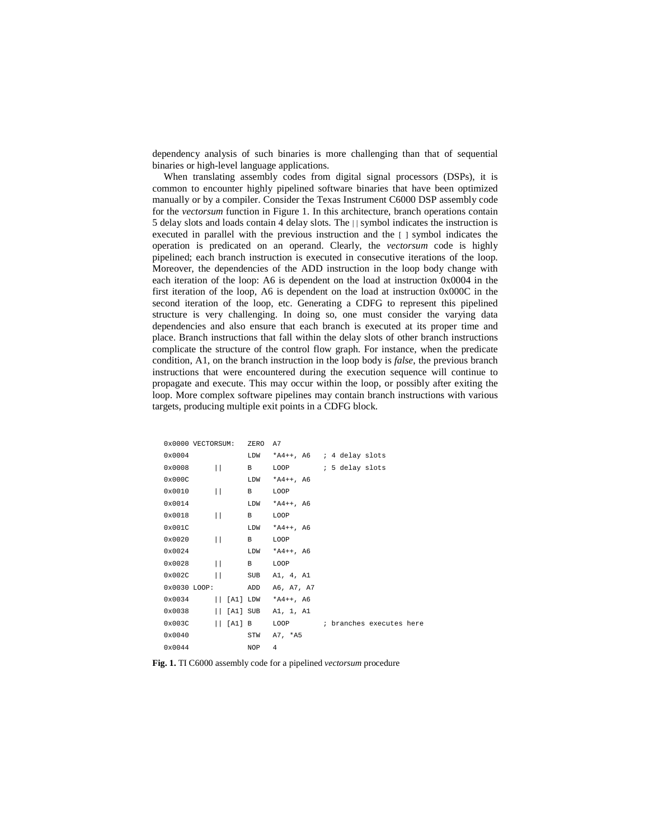dependency analysis of such binaries is more challenging than that of sequential binaries or high-level language applications.

When translating assembly codes from digital signal processors (DSPs), it is common to encounter highly pipelined software binaries that have been optimized manually or by a compiler. Consider the Texas Instrument C6000 DSP assembly code for the *vectorsum* function in Figure 1. In this architecture, branch operations contain 5 delay slots and loads contain 4 delay slots. The | | symbol indicates the instruction is executed in parallel with the previous instruction and the [ ] symbol indicates the operation is predicated on an operand. Clearly, the *vectorsum* code is highly pipelined; each branch instruction is executed in consecutive iterations of the loop. Moreover, the dependencies of the ADD instruction in the loop body change with each iteration of the loop: A6 is dependent on the load at instruction 0x0004 in the first iteration of the loop, A6 is dependent on the load at instruction 0x000C in the second iteration of the loop, etc. Generating a CDFG to represent this pipelined structure is very challenging. In doing so, one must consider the varying data dependencies and also ensure that each branch is executed at its proper time and place. Branch instructions that fall within the delay slots of other branch instructions complicate the structure of the control flow graph. For instance, when the predicate condition, A1, on the branch instruction in the loop body is *false*, the previous branch instructions that were encountered during the execution sequence will continue to propagate and execute. This may occur within the loop, or possibly after exiting the loop. More complex software pipelines may contain branch instructions with various targets, producing multiple exit points in a CDFG block.

| 0x0000 VECTORSUM:      | ZERO A7      |                         |                              |
|------------------------|--------------|-------------------------|------------------------------|
| 0x0004                 | LDW          |                         | $*A4++$ , A6 ; 4 delay slots |
| $\mathbf{L}$<br>0x0008 | $\mathbf{B}$ | LOOP                    | ; 5 delay slots              |
| 0x000C                 | LDW          | $*AA++, A6$             |                              |
| $\mathbf{L}$<br>0x0010 | $\mathbf{B}$ | LOOP                    |                              |
| 0x0014                 | LDW          | $*AA++$ , A6            |                              |
| $\mathbf{L}$<br>0x0018 | $\mathbf{B}$ | LOOP                    |                              |
| 0x001C                 |              | LDW $*AA++$ , A6        |                              |
| П<br>0x0020            | $\mathbf{B}$ | LOOP                    |                              |
| 0x0024                 | LDW          | $*AA++$ , A6            |                              |
| $\mathbf{L}$<br>0x0028 | $\mathbf{B}$ | LOOP                    |                              |
| П<br>0x002C            |              | SUB A1, 4, A1           |                              |
| 0x0030 LOOP:           | ADD          | A6, A7, A7              |                              |
| 0x0034                 |              | $[A1]$ LDW $*A4++$ , A6 |                              |
| 0x0038                 |              | $  $ [A1] SUB A1, 1, A1 |                              |
| 0x003C<br>Ш            | [A1] B       | LOOP                    | ; branches executes here     |
| 0x0040                 | STW          | A7, *A5                 |                              |
| 0x0044                 | NOP          | 4                       |                              |

**Fig. 1.** TI C6000 assembly code for a pipelined *vectorsum* procedure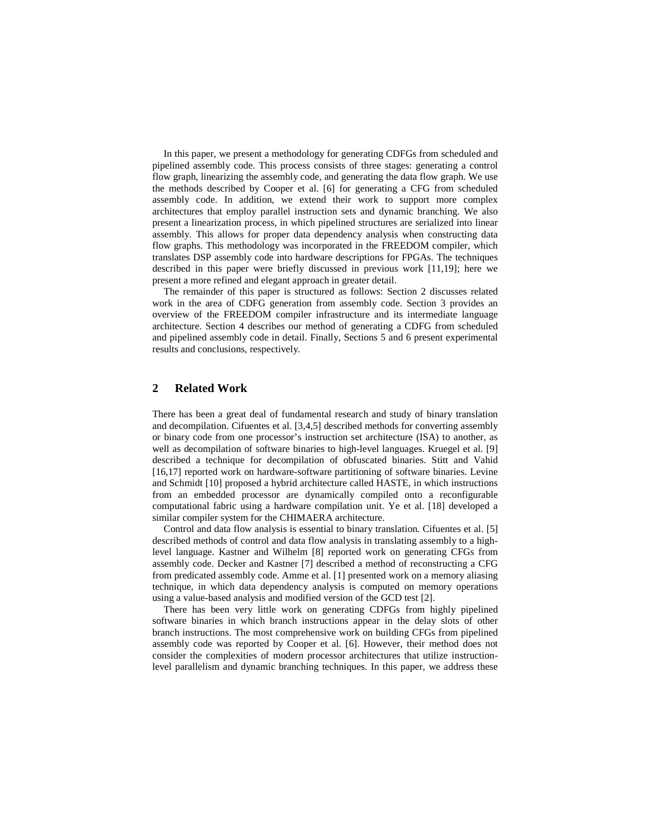In this paper, we present a methodology for generating CDFGs from scheduled and pipelined assembly code. This process consists of three stages: generating a control flow graph, linearizing the assembly code, and generating the data flow graph. We use the methods described by Cooper et al. [6] for generating a CFG from scheduled assembly code. In addition, we extend their work to support more complex architectures that employ parallel instruction sets and dynamic branching. We also present a linearization process, in which pipelined structures are serialized into linear assembly. This allows for proper data dependency analysis when constructing data flow graphs. This methodology was incorporated in the FREEDOM compiler, which translates DSP assembly code into hardware descriptions for FPGAs. The techniques described in this paper were briefly discussed in previous work [11,19]; here we present a more refined and elegant approach in greater detail.

The remainder of this paper is structured as follows: Section 2 discusses related work in the area of CDFG generation from assembly code. Section 3 provides an overview of the FREEDOM compiler infrastructure and its intermediate language architecture. Section 4 describes our method of generating a CDFG from scheduled and pipelined assembly code in detail. Finally, Sections 5 and 6 present experimental results and conclusions, respectively.

# **2 Related Work**

There has been a great deal of fundamental research and study of binary translation and decompilation. Cifuentes et al. [3,4,5] described methods for converting assembly or binary code from one processor's instruction set architecture (ISA) to another, as well as decompilation of software binaries to high-level languages. Kruegel et al. [9] described a technique for decompilation of obfuscated binaries. Stitt and Vahid [16,17] reported work on hardware-software partitioning of software binaries. Levine and Schmidt [10] proposed a hybrid architecture called HASTE, in which instructions from an embedded processor are dynamically compiled onto a reconfigurable computational fabric using a hardware compilation unit. Ye et al. [18] developed a similar compiler system for the CHIMAERA architecture.

Control and data flow analysis is essential to binary translation. Cifuentes et al. [5] described methods of control and data flow analysis in translating assembly to a highlevel language. Kastner and Wilhelm [8] reported work on generating CFGs from assembly code. Decker and Kastner [7] described a method of reconstructing a CFG from predicated assembly code. Amme et al. [1] presented work on a memory aliasing technique, in which data dependency analysis is computed on memory operations using a value-based analysis and modified version of the GCD test [2].

There has been very little work on generating CDFGs from highly pipelined software binaries in which branch instructions appear in the delay slots of other branch instructions. The most comprehensive work on building CFGs from pipelined assembly code was reported by Cooper et al. [6]. However, their method does not consider the complexities of modern processor architectures that utilize instructionlevel parallelism and dynamic branching techniques. In this paper, we address these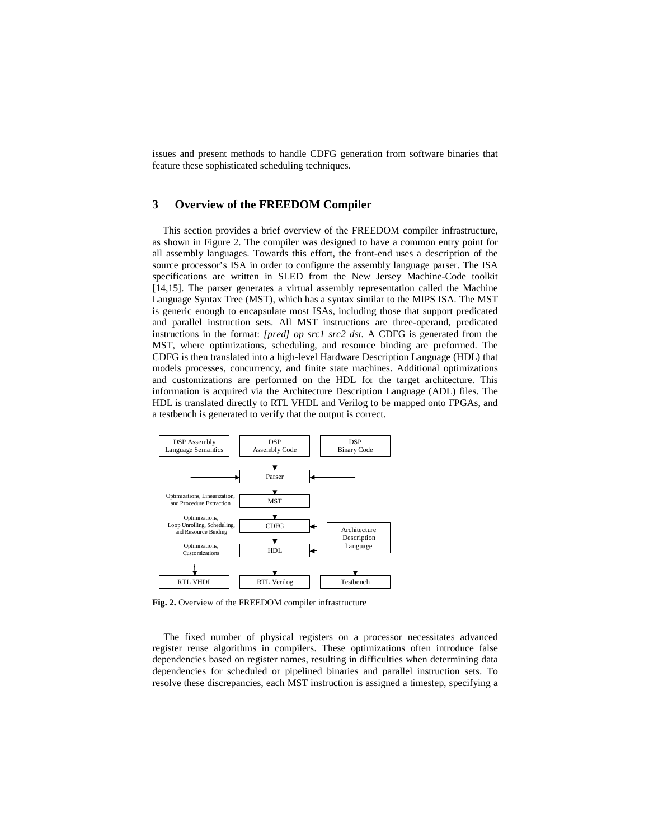issues and present methods to handle CDFG generation from software binaries that feature these sophisticated scheduling techniques.

## **3 Overview of the FREEDOM Compiler**

This section provides a brief overview of the FREEDOM compiler infrastructure, as shown in Figure 2. The compiler was designed to have a common entry point for all assembly languages. Towards this effort, the front-end uses a description of the source processor's ISA in order to configure the assembly language parser. The ISA specifications are written in SLED from the New Jersey Machine-Code toolkit [14,15]. The parser generates a virtual assembly representation called the Machine Language Syntax Tree (MST), which has a syntax similar to the MIPS ISA. The MST is generic enough to encapsulate most ISAs, including those that support predicated and parallel instruction sets. All MST instructions are three-operand, predicated instructions in the format: *[pred] op src1 src2 dst.* A CDFG is generated from the MST, where optimizations, scheduling, and resource binding are preformed. The CDFG is then translated into a high-level Hardware Description Language (HDL) that models processes, concurrency, and finite state machines. Additional optimizations and customizations are performed on the HDL for the target architecture. This information is acquired via the Architecture Description Language (ADL) files. The HDL is translated directly to RTL VHDL and Verilog to be mapped onto FPGAs, and a testbench is generated to verify that the output is correct.



**Fig. 2.** Overview of the FREEDOM compiler infrastructure

The fixed number of physical registers on a processor necessitates advanced register reuse algorithms in compilers. These optimizations often introduce false dependencies based on register names, resulting in difficulties when determining data dependencies for scheduled or pipelined binaries and parallel instruction sets. To resolve these discrepancies, each MST instruction is assigned a timestep, specifying a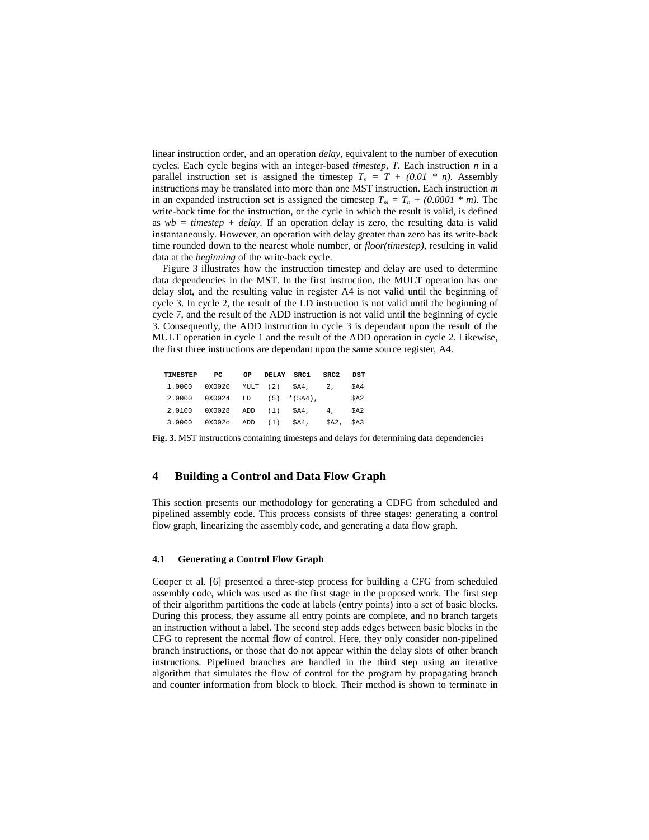linear instruction order, and an operation *delay*, equivalent to the number of execution cycles. Each cycle begins with an integer-based *timestep, T*. Each instruction *n* in a parallel instruction set is assigned the timestep  $T_n = T + (0.01 * n)$ . Assembly instructions may be translated into more than one MST instruction. Each instruction *m* in an expanded instruction set is assigned the timestep  $T_m = T_n + (0.0001 * m)$ . The write-back time for the instruction, or the cycle in which the result is valid, is defined as  $wb = timestep + delay$ . If an operation delay is zero, the resulting data is valid instantaneously. However, an operation with delay greater than zero has its write-back time rounded down to the nearest whole number, or *floor(timestep)*, resulting in valid data at the *beginning* of the write-back cycle.

Figure 3 illustrates how the instruction timestep and delay are used to determine data dependencies in the MST. In the first instruction, the MULT operation has one delay slot, and the resulting value in register A4 is not valid until the beginning of cycle 3. In cycle 2, the result of the LD instruction is not valid until the beginning of cycle 7, and the result of the ADD instruction is not valid until the beginning of cycle 3. Consequently, the ADD instruction in cycle 3 is dependant upon the result of the MULT operation in cycle 1 and the result of the ADD operation in cycle 2. Likewise, the first three instructions are dependant upon the same source register, A4.

```
TIMESTEP PC OP DELAY SRC1 SRC2 DST 
 1.0000 0X0020 MULT (2) $A4, 2, $A4 
 2.0000 0X0024 LD (5) *($A4), $A2 
 2.0100 0X0028 ADD (1) $A4, 4, $A2 
 3.0000 0X002c ADD (1) $A4, $A2, $A3
```
**Fig. 3.** MST instructions containing timesteps and delays for determining data dependencies

## **4 Building a Control and Data Flow Graph**

This section presents our methodology for generating a CDFG from scheduled and pipelined assembly code. This process consists of three stages: generating a control flow graph, linearizing the assembly code, and generating a data flow graph.

#### **4.1 Generating a Control Flow Graph**

Cooper et al. [6] presented a three-step process for building a CFG from scheduled assembly code, which was used as the first stage in the proposed work. The first step of their algorithm partitions the code at labels (entry points) into a set of basic blocks. During this process, they assume all entry points are complete, and no branch targets an instruction without a label. The second step adds edges between basic blocks in the CFG to represent the normal flow of control. Here, they only consider non-pipelined branch instructions, or those that do not appear within the delay slots of other branch instructions. Pipelined branches are handled in the third step using an iterative algorithm that simulates the flow of control for the program by propagating branch and counter information from block to block. Their method is shown to terminate in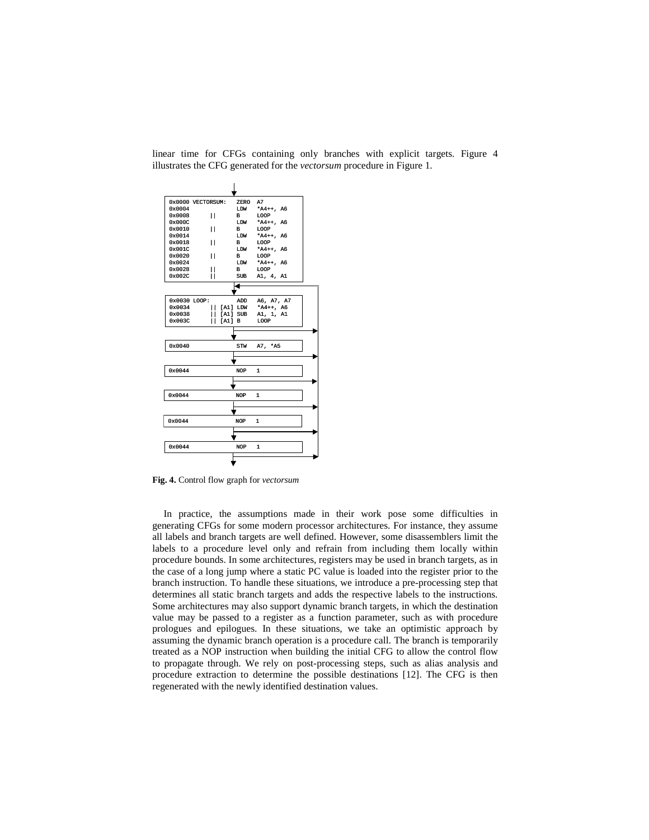

linear time for CFGs containing only branches with explicit targets. Figure 4 illustrates the CFG generated for the *vectorsum* procedure in Figure 1.

**Fig. 4.** Control flow graph for *vectorsum* 

In practice, the assumptions made in their work pose some difficulties in generating CFGs for some modern processor architectures. For instance, they assume all labels and branch targets are well defined. However, some disassemblers limit the labels to a procedure level only and refrain from including them locally within procedure bounds. In some architectures, registers may be used in branch targets, as in the case of a long jump where a static PC value is loaded into the register prior to the branch instruction. To handle these situations, we introduce a pre-processing step that determines all static branch targets and adds the respective labels to the instructions. Some architectures may also support dynamic branch targets, in which the destination value may be passed to a register as a function parameter, such as with procedure prologues and epilogues. In these situations, we take an optimistic approach by assuming the dynamic branch operation is a procedure call. The branch is temporarily treated as a NOP instruction when building the initial CFG to allow the control flow to propagate through. We rely on post-processing steps, such as alias analysis and procedure extraction to determine the possible destinations [12]. The CFG is then regenerated with the newly identified destination values.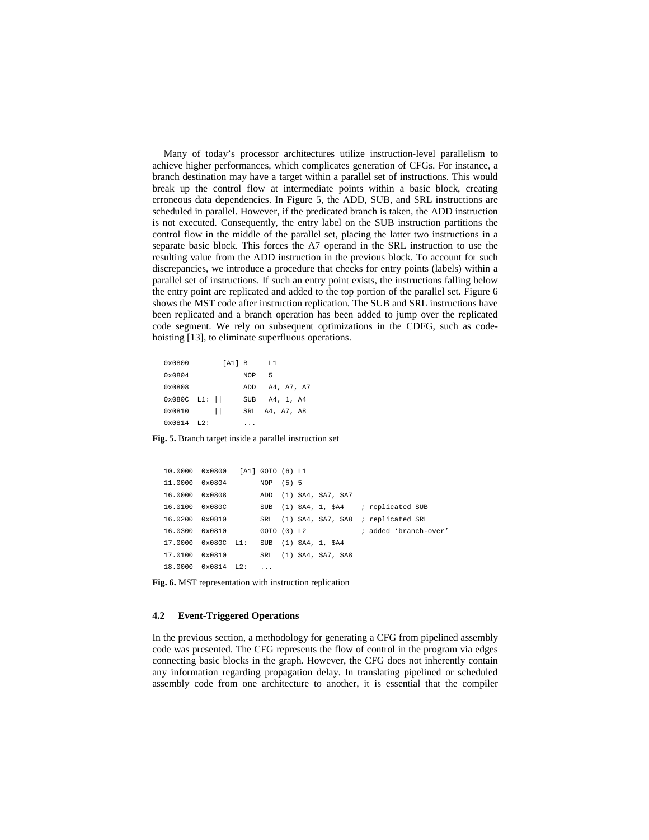Many of today's processor architectures utilize instruction-level parallelism to achieve higher performances, which complicates generation of CFGs. For instance, a branch destination may have a target within a parallel set of instructions. This would break up the control flow at intermediate points within a basic block, creating erroneous data dependencies. In Figure 5, the ADD, SUB, and SRL instructions are scheduled in parallel. However, if the predicated branch is taken, the ADD instruction is not executed. Consequently, the entry label on the SUB instruction partitions the control flow in the middle of the parallel set, placing the latter two instructions in a separate basic block. This forces the A7 operand in the SRL instruction to use the resulting value from the ADD instruction in the previous block. To account for such discrepancies, we introduce a procedure that checks for entry points (labels) within a parallel set of instructions. If such an entry point exists, the instructions falling below the entry point are replicated and added to the top portion of the parallel set. Figure 6 shows the MST code after instruction replication. The SUB and SRL instructions have been replicated and a branch operation has been added to jump over the replicated code segment. We rely on subsequent optimizations in the CDFG, such as codehoisting [13], to eliminate superfluous operations.

| $0 \times 0800$ |         | [A1] B  |            | L1             |
|-----------------|---------|---------|------------|----------------|
| 0x0804          |         |         | <b>NOP</b> | -5             |
| 0x0808          |         |         | ADD        | A4, A7, A7     |
| $0x080C$ L1:    |         |         |            | SUB A4, 1, A4  |
| 0x0810          |         | $\perp$ |            | SRL A4, A7, A8 |
| 0x0814          | $T12$ : |         |            |                |

**Fig. 5.** Branch target inside a parallel instruction set

```
10.0000 0x0800 [A1] GOTO (6) L1 
11.0000 0x0804 NOP (5) 5 
16.0000 0x0808 ADD (1) $A4, $A7, $A7 
16.0100 0x080C SUB (1) $A4, 1, $A4 ; replicated SUB 
16.0200 0x0810 SRL (1) $A4, $A7, $A8 ; replicated SRL 
16.0300 0x0810 GOTO (0) L2 ; added 'branch-over' 
17.0000 0x080C L1: SUB (1) $A4, 1, $A4 
17.0100 0x0810 SRL (1) $A4, $A7, $A8 
18.0000 0x0814 L2: ...
```
**Fig. 6.** MST representation with instruction replication

#### **4.2 Event-Triggered Operations**

In the previous section, a methodology for generating a CFG from pipelined assembly code was presented. The CFG represents the flow of control in the program via edges connecting basic blocks in the graph. However, the CFG does not inherently contain any information regarding propagation delay. In translating pipelined or scheduled assembly code from one architecture to another, it is essential that the compiler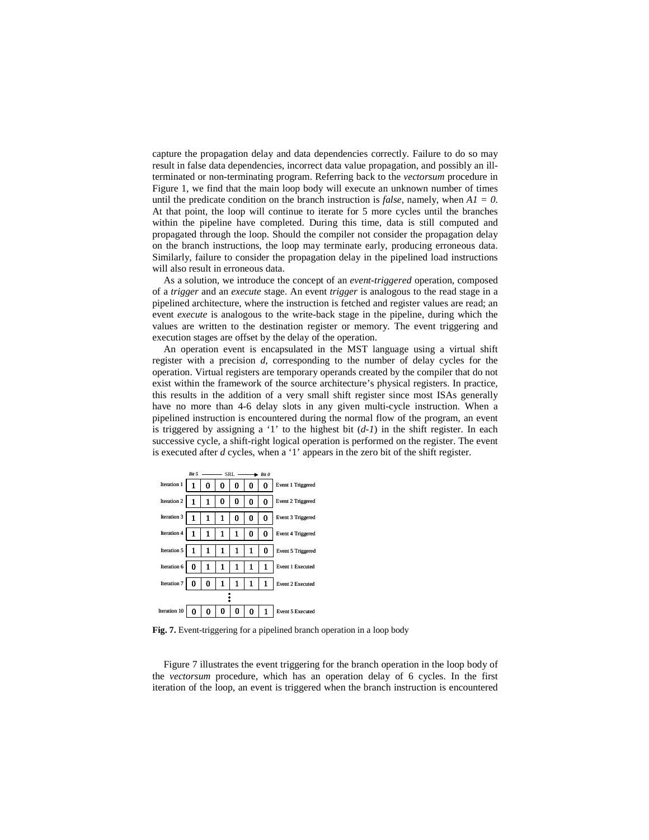capture the propagation delay and data dependencies correctly. Failure to do so may result in false data dependencies, incorrect data value propagation, and possibly an illterminated or non-terminating program. Referring back to the *vectorsum* procedure in Figure 1, we find that the main loop body will execute an unknown number of times until the predicate condition on the branch instruction is *false*, namely, when *A1 = 0*. At that point, the loop will continue to iterate for 5 more cycles until the branches within the pipeline have completed. During this time, data is still computed and propagated through the loop. Should the compiler not consider the propagation delay on the branch instructions, the loop may terminate early, producing erroneous data. Similarly, failure to consider the propagation delay in the pipelined load instructions will also result in erroneous data.

As a solution, we introduce the concept of an *event-triggered* operation, composed of a *trigger* and an *execute* stage. An event *trigger* is analogous to the read stage in a pipelined architecture, where the instruction is fetched and register values are read; an event *execute* is analogous to the write-back stage in the pipeline, during which the values are written to the destination register or memory. The event triggering and execution stages are offset by the delay of the operation.

An operation event is encapsulated in the MST language using a virtual shift register with a precision *d*, corresponding to the number of delay cycles for the operation. Virtual registers are temporary operands created by the compiler that do not exist within the framework of the source architecture's physical registers. In practice, this results in the addition of a very small shift register since most ISAs generally have no more than 4-6 delay slots in any given multi-cycle instruction. When a pipelined instruction is encountered during the normal flow of the program, an event is triggered by assigning a '1' to the highest bit  $(d-1)$  in the shift register. In each successive cycle, a shift-right logical operation is performed on the register. The event is executed after *d* cycles, when a '1' appears in the zero bit of the shift register.



**Fig. 7.** Event-triggering for a pipelined branch operation in a loop body

Figure 7 illustrates the event triggering for the branch operation in the loop body of the *vectorsum* procedure, which has an operation delay of 6 cycles. In the first iteration of the loop, an event is triggered when the branch instruction is encountered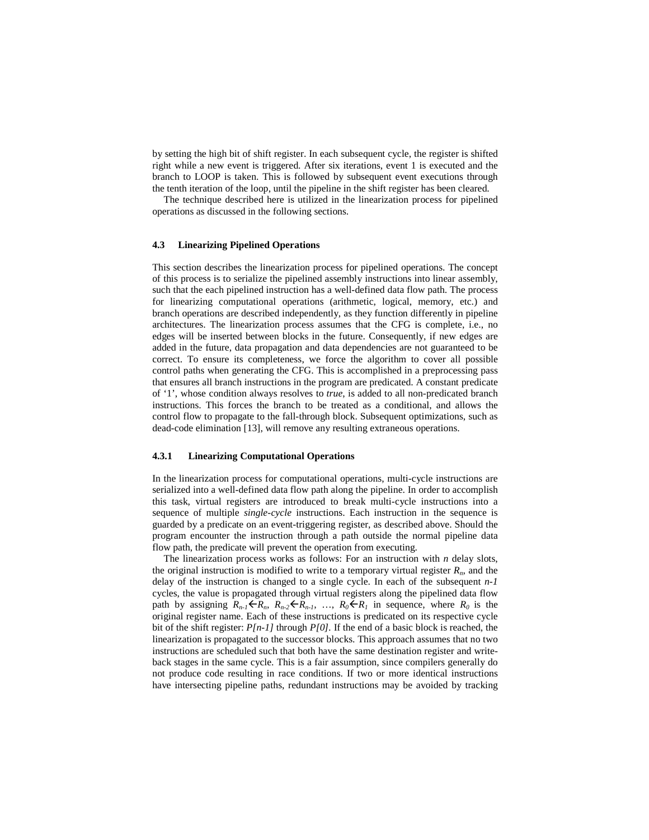by setting the high bit of shift register. In each subsequent cycle, the register is shifted right while a new event is triggered. After six iterations, event 1 is executed and the branch to LOOP is taken. This is followed by subsequent event executions through the tenth iteration of the loop, until the pipeline in the shift register has been cleared.

The technique described here is utilized in the linearization process for pipelined operations as discussed in the following sections.

#### **4.3 Linearizing Pipelined Operations**

This section describes the linearization process for pipelined operations. The concept of this process is to serialize the pipelined assembly instructions into linear assembly, such that the each pipelined instruction has a well-defined data flow path. The process for linearizing computational operations (arithmetic, logical, memory, etc.) and branch operations are described independently, as they function differently in pipeline architectures. The linearization process assumes that the CFG is complete, i.e., no edges will be inserted between blocks in the future. Consequently, if new edges are added in the future, data propagation and data dependencies are not guaranteed to be correct. To ensure its completeness, we force the algorithm to cover all possible control paths when generating the CFG. This is accomplished in a preprocessing pass that ensures all branch instructions in the program are predicated. A constant predicate of '1', whose condition always resolves to *true*, is added to all non-predicated branch instructions. This forces the branch to be treated as a conditional, and allows the control flow to propagate to the fall-through block. Subsequent optimizations, such as dead-code elimination [13], will remove any resulting extraneous operations.

#### **4.3.1 Linearizing Computational Operations**

In the linearization process for computational operations, multi-cycle instructions are serialized into a well-defined data flow path along the pipeline. In order to accomplish this task, virtual registers are introduced to break multi-cycle instructions into a sequence of multiple *single-cycle* instructions. Each instruction in the sequence is guarded by a predicate on an event-triggering register, as described above. Should the program encounter the instruction through a path outside the normal pipeline data flow path, the predicate will prevent the operation from executing.

The linearization process works as follows: For an instruction with *n* delay slots, the original instruction is modified to write to a temporary virtual register  $R<sub>n</sub>$ , and the delay of the instruction is changed to a single cycle. In each of the subsequent *n-1* cycles, the value is propagated through virtual registers along the pipelined data flow path by assigning  $R_{n-1} \leftarrow R_n$ ,  $R_{n-2} \leftarrow R_{n-1}$ , ...,  $R_0 \leftarrow R_1$  in sequence, where  $R_0$  is the original register name. Each of these instructions is predicated on its respective cycle bit of the shift register: *P[n-1]* through *P[0].* If the end of a basic block is reached, the linearization is propagated to the successor blocks. This approach assumes that no two instructions are scheduled such that both have the same destination register and writeback stages in the same cycle. This is a fair assumption, since compilers generally do not produce code resulting in race conditions. If two or more identical instructions have intersecting pipeline paths, redundant instructions may be avoided by tracking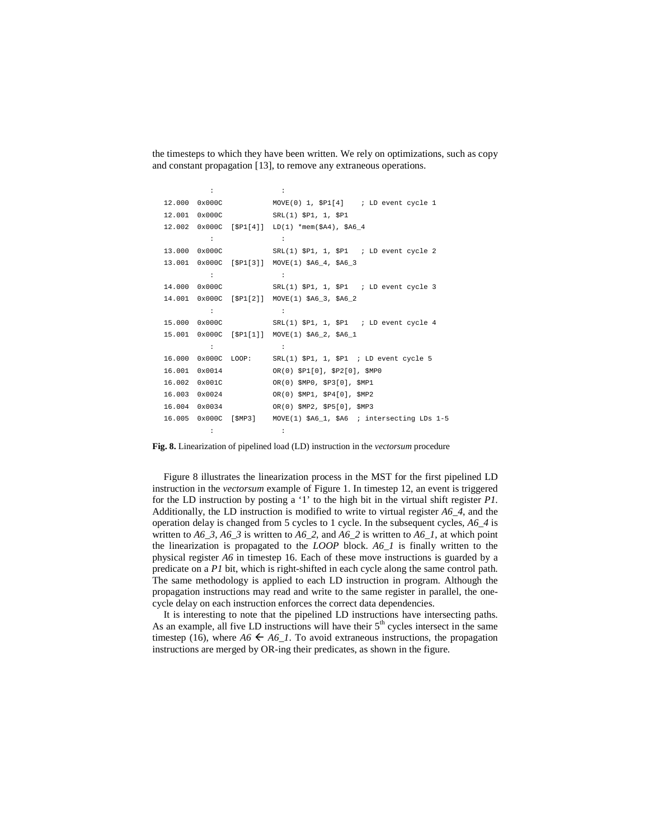the timesteps to which they have been written. We rely on optimizations, such as copy and constant propagation [13], to remove any extraneous operations.

| $\sim$ 1.1                        |                               | $\sim 10$                                                         |
|-----------------------------------|-------------------------------|-------------------------------------------------------------------|
|                                   |                               | 12.000 0x000C MOVE(0) 1, \$P1[4] ; LD event cycle 1               |
|                                   |                               | 12.001 0x000C SRL(1) \$P1, 1, \$P1                                |
|                                   |                               | 12.002 0x000C [\$P1[4]] LD(1) *mem(\$A4), \$A6_4                  |
| <b>Contract Contract Contract</b> |                               | <b>Contractor</b>                                                 |
|                                   |                               | 13.000 0x000C SRL(1) \$P1, 1, \$P1 ; LD event cycle 2             |
|                                   |                               | 13.001 0x000C [\$P1[3]] MOVE(1) \$A6 4, \$A6 3                    |
| <b>Contractor</b>                 | and the state of the state of |                                                                   |
|                                   |                               | 14.000 $0x000C$ SRL(1) $$P1, 1, $P1$ ; LD event cycle 3           |
|                                   |                               | 14.001 0x000C [\$P1[2]] MOVE(1) \$A6_3, \$A6_2                    |
| <b>Contract Contract Contract</b> |                               | <b>Contract Contract</b>                                          |
|                                   |                               | 15.000 $0x000C$ SRL(1) $$P1, 1, $P1$ ; LD event cycle 4           |
|                                   |                               | 15.001 0x000C [\$P1[1]] MOVE(1) \$A6 2, \$A6 1                    |
| <b>Contract Contract</b>          |                               | $\sim 100$                                                        |
|                                   |                               | 16.000 0x000C LOOP: SRL(1) \$P1, 1, \$P1; LD event cycle 5        |
|                                   | 16.001 0x0014                 | OR(0) \$P1[0], \$P2[0], \$MP0                                     |
|                                   |                               | 16.002 0x001C OR(0) \$MP0, \$P3[0], \$MP1                         |
|                                   |                               | 16.003 0x0024 OR(0) \$MP1, \$P4[0], \$MP2                         |
|                                   |                               | 16.004 0x0034 OR(0) \$MP2, \$P5[0], \$MP3                         |
|                                   |                               | 16.005 0x000C [\$MP3] MOVE(1) \$A6_1, \$A6 ; intersecting LDs 1-5 |
| $\ddot{\phantom{a}}$              |                               | $\ddot{\phantom{a}}$                                              |

**Fig. 8.** Linearization of pipelined load (LD) instruction in the *vectorsum* procedure

Figure 8 illustrates the linearization process in the MST for the first pipelined LD instruction in the *vectorsum* example of Figure 1. In timestep 12, an event is triggered for the LD instruction by posting a '1' to the high bit in the virtual shift register *P1*. Additionally, the LD instruction is modified to write to virtual register *A6\_4*, and the operation delay is changed from 5 cycles to 1 cycle. In the subsequent cycles, *A6\_4* is written to  $A6\,3$ ,  $A6\,3$  is written to  $A6\,2$ , and  $A6\,2$  is written to  $A6\,1$ , at which point the linearization is propagated to the *LOOP* block. *A6\_1* is finally written to the physical register *A6* in timestep 16. Each of these move instructions is guarded by a predicate on a *P1* bit, which is right-shifted in each cycle along the same control path. The same methodology is applied to each LD instruction in program. Although the propagation instructions may read and write to the same register in parallel, the onecycle delay on each instruction enforces the correct data dependencies.

It is interesting to note that the pipelined LD instructions have intersecting paths. As an example, all five LD instructions will have their  $5<sup>th</sup>$  cycles intersect in the same timestep (16), where  $A6 \leftarrow A6$  *I*. To avoid extraneous instructions, the propagation instructions are merged by OR-ing their predicates, as shown in the figure.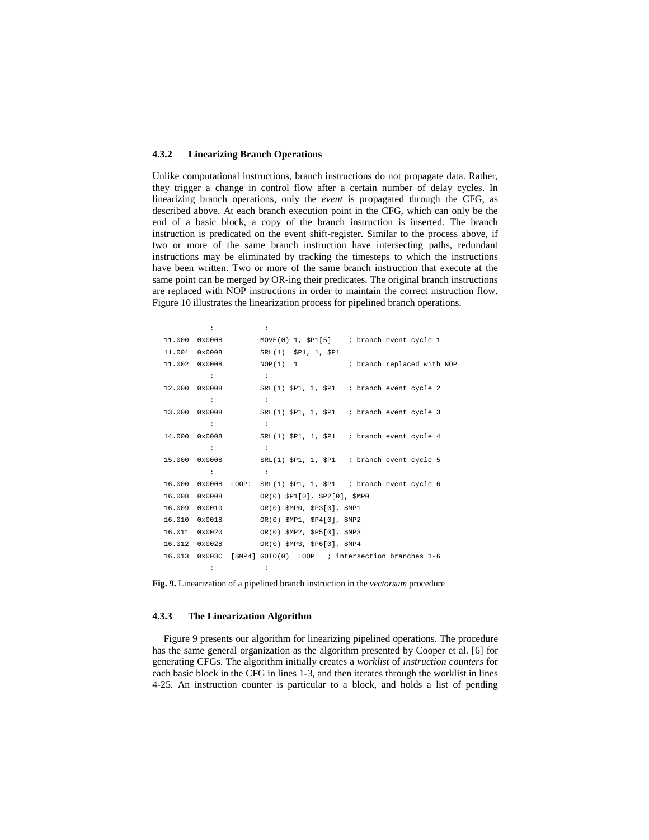#### **4.3.2 Linearizing Branch Operations**

Unlike computational instructions, branch instructions do not propagate data. Rather, they trigger a change in control flow after a certain number of delay cycles. In linearizing branch operations, only the *event* is propagated through the CFG, as described above. At each branch execution point in the CFG, which can only be the end of a basic block, a copy of the branch instruction is inserted. The branch instruction is predicated on the event shift-register. Similar to the process above, if two or more of the same branch instruction have intersecting paths, redundant instructions may be eliminated by tracking the timesteps to which the instructions have been written. Two or more of the same branch instruction that execute at the same point can be merged by OR-ing their predicates. The original branch instructions are replaced with NOP instructions in order to maintain the correct instruction flow. Figure 10 illustrates the linearization process for pipelined branch operations.

| $\cdot$ :                  | $\ddot{\phantom{a}}$                                                                          |
|----------------------------|-----------------------------------------------------------------------------------------------|
|                            | 11.000 0x0008 MOVE(0) 1, \$P1[5] ; branch event cycle 1                                       |
| 11.001 0x0008              | $SRL(1)$ $$P1, 1, $P1$                                                                        |
| 11.002 0x0008              | $NOP(1)$ 1 i branch replaced with NOP                                                         |
| <b>Service Engineering</b> | <b>Carl Corporation</b>                                                                       |
|                            | 12.000 $0x0008$ SRL(1) \$P1, 1, \$P1 ; branch event cycle 2                                   |
| <b>Contract Contract</b>   | $\sim 100$                                                                                    |
|                            | 13.000 $0x0008$ SRL(1) $\frac{1}{2}$ , 1, $\frac{1}{2}$ i branch event cycle 3                |
| <b>Contract Contract</b>   | $\sim 10^{-11}$                                                                               |
|                            | $14.000$ $0x0008$ SRL(1) $\frac{1}{2}$ , $\frac{1}{2}$ , $\frac{1}{2}$ i branch event cycle 4 |
| <b>Service State State</b> | <b>Contractor</b>                                                                             |
|                            | 15.000 0x0008 SRL(1) \$P1, 1, \$P1 ; branch event cycle 5                                     |
| and the state of the state | $\sim 10$                                                                                     |
|                            | 16.000 0x0008 LOOP: SRL(1) \$P1, 1, \$P1 ; branch event cycle 6                               |
|                            | 16.008 0x0008 OR(0) \$P1[0], \$P2[0], \$MP0                                                   |
|                            | 16.009 0x0010 OR(0) \$MP0, \$P3[0], \$MP1                                                     |
|                            | 16.010 0x0018 OR(0) \$MP1, \$P4[0], \$MP2                                                     |
|                            | 16.011 0x0020 OR(0) \$MP2, \$P5[0], \$MP3                                                     |
|                            | 16.012 0x0028 OR(0) \$MP3, \$P6[0], \$MP4                                                     |
|                            | 16.013 0x003C [\$MP4] GOTO(0) LOOP ; intersection branches 1-6                                |
| $\mathbf{r}$               | $\ddot{\phantom{a}}$                                                                          |

**Fig. 9.** Linearization of a pipelined branch instruction in the *vectorsum* procedure

#### **4.3.3 The Linearization Algorithm**

Figure 9 presents our algorithm for linearizing pipelined operations. The procedure has the same general organization as the algorithm presented by Cooper et al. [6] for generating CFGs. The algorithm initially creates a *worklist* of *instruction counters* for each basic block in the CFG in lines 1-3, and then iterates through the worklist in lines 4-25. An instruction counter is particular to a block, and holds a list of pending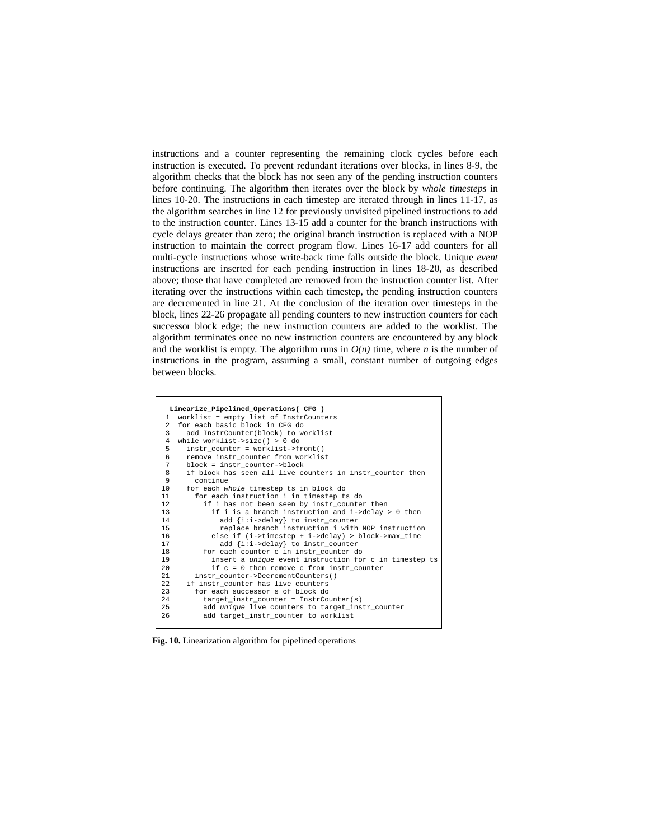instructions and a counter representing the remaining clock cycles before each instruction is executed. To prevent redundant iterations over blocks, in lines 8-9, the algorithm checks that the block has not seen any of the pending instruction counters before continuing. The algorithm then iterates over the block by *whole timesteps* in lines 10-20. The instructions in each timestep are iterated through in lines 11-17, as the algorithm searches in line 12 for previously unvisited pipelined instructions to add to the instruction counter. Lines 13-15 add a counter for the branch instructions with cycle delays greater than zero; the original branch instruction is replaced with a NOP instruction to maintain the correct program flow. Lines 16-17 add counters for all multi-cycle instructions whose write-back time falls outside the block. Unique *event* instructions are inserted for each pending instruction in lines 18-20, as described above; those that have completed are removed from the instruction counter list. After iterating over the instructions within each timestep, the pending instruction counters are decremented in line 21. At the conclusion of the iteration over timesteps in the block, lines 22-26 propagate all pending counters to new instruction counters for each successor block edge; the new instruction counters are added to the worklist. The algorithm terminates once no new instruction counters are encountered by any block and the worklist is empty. The algorithm runs in  $O(n)$  time, where *n* is the number of instructions in the program, assuming a small, constant number of outgoing edges between blocks.

```
 Linearize_Pipelined_Operations( CFG ) 
 1 worklist = empty list of InstrCounters<br>2 for each basic block in CEG do
      2 for each basic block in CFG do 
 3 add InstrCounter(block) to worklist<br>4 while worklist->size() > 0 do
 4 while worklist->size() > 0 do<br>5 instr counter = worklist->5instr counter = worklist->front()
  6 remove instr_counter from worklist 
 7 block = instr_counter->block<br>8 if block has seen all live co
 8 if block has seen all live counters in instr_counter then<br>9 continue
9 continue<br>10 for each wi
        for each whole timestep ts in block do
11 for each instruction i in timestep ts do<br>12 if i has not been seen by instr counte
12 if i has not been seen by instr_counter then<br>13 if i is a branch instruction and i->delay:
                 if i is a branch instruction and i->delay > 0 then
14 add {i:i->delay} to instr_counter<br>15 replace branch instruction i with
                   15 replace branch instruction i with NOP instruction 
16 else if (i->timestep + i->delay) > block->max_time 
17 add {i:i->delay} to instr_counter<br>18 for each counter c in instr counter d
18 for each counter c in instr_counter do<br>19 insert a unique event instruction for
                 insert a unique event instruction for c in timestep ts
20 if c = 0 then remove c from instr_counter<br>21 instr counter->DecrementCounters()
           21 instr_counter->DecrementCounters() 
22 if instr_counter has live counters 
23 for each successor s of block do 
24 target_instr_counter = InstrCounter(s)<br>25 add unique live counters to target ins
              add unique live counters to target_instr_counter
26 add target_instr_counter to worklist
```
**Fig. 10.** Linearization algorithm for pipelined operations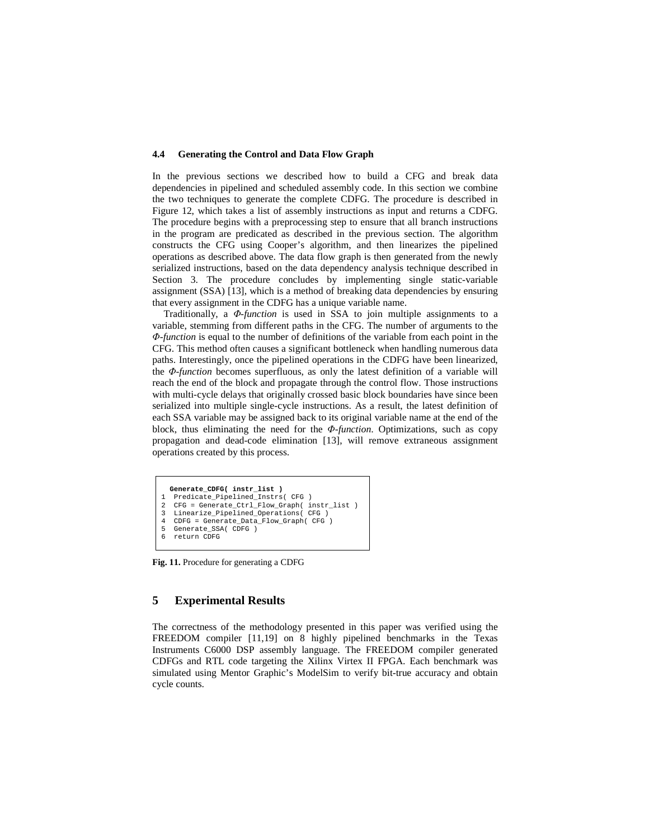#### **4.4 Generating the Control and Data Flow Graph**

In the previous sections we described how to build a CFG and break data dependencies in pipelined and scheduled assembly code. In this section we combine the two techniques to generate the complete CDFG. The procedure is described in Figure 12, which takes a list of assembly instructions as input and returns a CDFG. The procedure begins with a preprocessing step to ensure that all branch instructions in the program are predicated as described in the previous section. The algorithm constructs the CFG using Cooper's algorithm, and then linearizes the pipelined operations as described above. The data flow graph is then generated from the newly serialized instructions, based on the data dependency analysis technique described in Section 3. The procedure concludes by implementing single static-variable assignment (SSA) [13], which is a method of breaking data dependencies by ensuring that every assignment in the CDFG has a unique variable name.

Traditionally, a <sup>Φ</sup> *-function* is used in SSA to join multiple assignments to a variable, stemming from different paths in the CFG. The number of arguments to the Φ *-function* is equal to the number of definitions of the variable from each point in the CFG. This method often causes a significant bottleneck when handling numerous data paths. Interestingly, once the pipelined operations in the CDFG have been linearized, the <sup>Φ</sup> *-function* becomes superfluous, as only the latest definition of a variable will reach the end of the block and propagate through the control flow. Those instructions with multi-cycle delays that originally crossed basic block boundaries have since been serialized into multiple single-cycle instructions. As a result, the latest definition of each SSA variable may be assigned back to its original variable name at the end of the block, thus eliminating the need for the <sup>Φ</sup> *-function*. Optimizations, such as copy propagation and dead-code elimination [13], will remove extraneous assignment operations created by this process.

```
 Generate_CDFG( instr_list ) 
1 Predicate_Pipelined_Instrs( CFG ) 
2 CFG = Generate_Ctrl_Flow_Graph( instr_list ) 
3 Linearize_Pipelined_Operations( CFG ) 
4 CDFG = Generate_Data_Flow_Graph( CFG ) 
   Generate SSA( CDFG )
6 return CDFG
```
**Fig. 11.** Procedure for generating a CDFG

# **5 Experimental Results**

The correctness of the methodology presented in this paper was verified using the FREEDOM compiler [11,19] on 8 highly pipelined benchmarks in the Texas Instruments C6000 DSP assembly language. The FREEDOM compiler generated CDFGs and RTL code targeting the Xilinx Virtex II FPGA. Each benchmark was simulated using Mentor Graphic's ModelSim to verify bit-true accuracy and obtain cycle counts.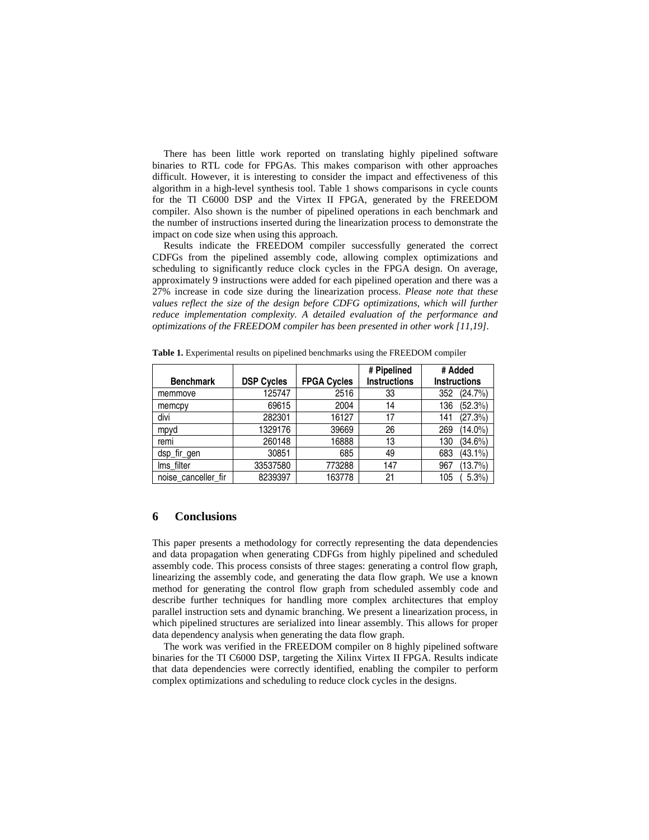There has been little work reported on translating highly pipelined software binaries to RTL code for FPGAs. This makes comparison with other approaches difficult. However, it is interesting to consider the impact and effectiveness of this algorithm in a high-level synthesis tool. Table 1 shows comparisons in cycle counts for the TI C6000 DSP and the Virtex II FPGA, generated by the FREEDOM compiler. Also shown is the number of pipelined operations in each benchmark and the number of instructions inserted during the linearization process to demonstrate the impact on code size when using this approach.

Results indicate the FREEDOM compiler successfully generated the correct CDFGs from the pipelined assembly code, allowing complex optimizations and scheduling to significantly reduce clock cycles in the FPGA design. On average, approximately 9 instructions were added for each pipelined operation and there was a 27% increase in code size during the linearization process. *Please note that these*  values reflect the size of the design before CDFG optimizations, which will further *reduce implementation complexity. A detailed evaluation of the performance and optimizations of the FREEDOM compiler has been presented in other work [11,19].*

|                     |                   |                    | # Pipelined         | # Added             |
|---------------------|-------------------|--------------------|---------------------|---------------------|
| <b>Benchmark</b>    | <b>DSP Cycles</b> | <b>FPGA Cycles</b> | <b>Instructions</b> | <b>Instructions</b> |
| memmove             | 125747            | 2516               | 33                  | (24.7%)<br>352      |
| memcpy              | 69615             | 2004               | 14                  | (52.3%)<br>136      |
| divi                | 282301            | 16127              | 17                  | (27.3%)<br>141      |
| mpyd                | 1329176           | 39669              | 26                  | $(14.0\%)$<br>269   |
| remi                | 260148            | 16888              | 13                  | $(34.6\%)$<br>130   |
| dsp_fir_gen         | 30851             | 685                | 49                  | $(43.1\%)$<br>683   |
| Ims filter          | 33537580          | 773288             | 147                 | (13.7%)<br>967      |
| noise_canceller_fir | 8239397           | 163778             | 21                  | 5.3%<br>105         |

**Table 1.** Experimental results on pipelined benchmarks using the FREEDOM compiler

### **6 Conclusions**

This paper presents a methodology for correctly representing the data dependencies and data propagation when generating CDFGs from highly pipelined and scheduled assembly code. This process consists of three stages: generating a control flow graph, linearizing the assembly code, and generating the data flow graph. We use a known method for generating the control flow graph from scheduled assembly code and describe further techniques for handling more complex architectures that employ parallel instruction sets and dynamic branching. We present a linearization process, in which pipelined structures are serialized into linear assembly. This allows for proper data dependency analysis when generating the data flow graph.

The work was verified in the FREEDOM compiler on 8 highly pipelined software binaries for the TI C6000 DSP, targeting the Xilinx Virtex II FPGA. Results indicate that data dependencies were correctly identified, enabling the compiler to perform complex optimizations and scheduling to reduce clock cycles in the designs.